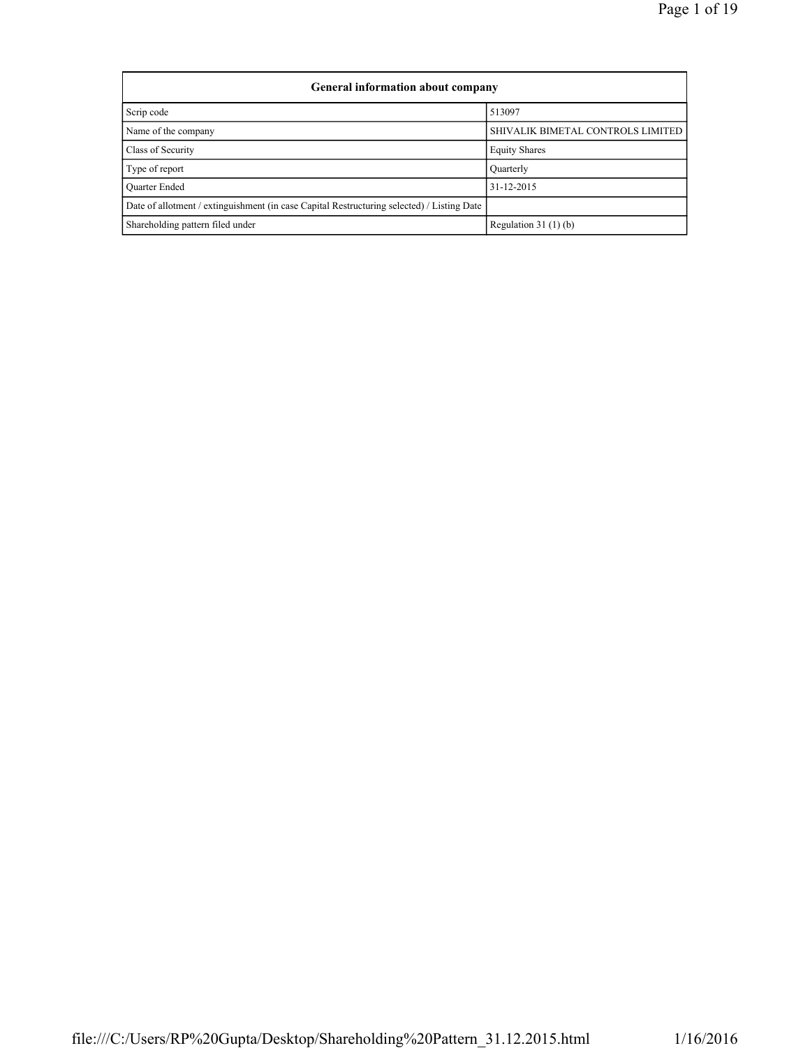| <b>General information about company</b>                                                   |                                   |  |  |  |  |  |  |  |
|--------------------------------------------------------------------------------------------|-----------------------------------|--|--|--|--|--|--|--|
| Scrip code                                                                                 | 513097                            |  |  |  |  |  |  |  |
| Name of the company                                                                        | SHIVALIK BIMETAL CONTROLS LIMITED |  |  |  |  |  |  |  |
| Class of Security                                                                          | <b>Equity Shares</b>              |  |  |  |  |  |  |  |
| Type of report                                                                             | Quarterly                         |  |  |  |  |  |  |  |
| <b>Ouarter Ended</b>                                                                       | 31-12-2015                        |  |  |  |  |  |  |  |
| Date of allotment / extinguishment (in case Capital Restructuring selected) / Listing Date |                                   |  |  |  |  |  |  |  |
| Shareholding pattern filed under                                                           | Regulation 31 $(1)(b)$            |  |  |  |  |  |  |  |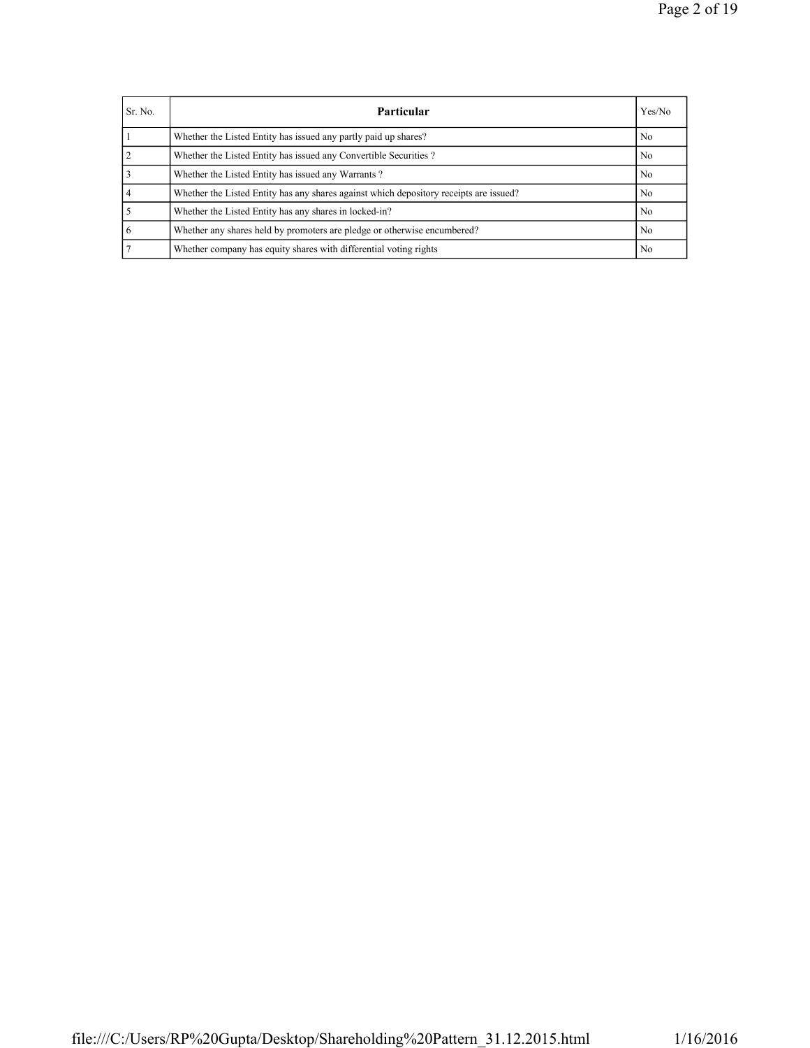| Sr. No.        | <b>Particular</b>                                                                      | Yes/No         |
|----------------|----------------------------------------------------------------------------------------|----------------|
|                | Whether the Listed Entity has issued any partly paid up shares?                        | N <sub>0</sub> |
| $\overline{2}$ | Whether the Listed Entity has issued any Convertible Securities?                       | N <sub>0</sub> |
|                | Whether the Listed Entity has issued any Warrants?                                     | N <sub>0</sub> |
|                | Whether the Listed Entity has any shares against which depository receipts are issued? | No.            |
|                | Whether the Listed Entity has any shares in locked-in?                                 | N <sub>0</sub> |
| -6             | Whether any shares held by promoters are pledge or otherwise encumbered?               | N <sub>0</sub> |
|                | Whether company has equity shares with differential voting rights                      | N <sub>0</sub> |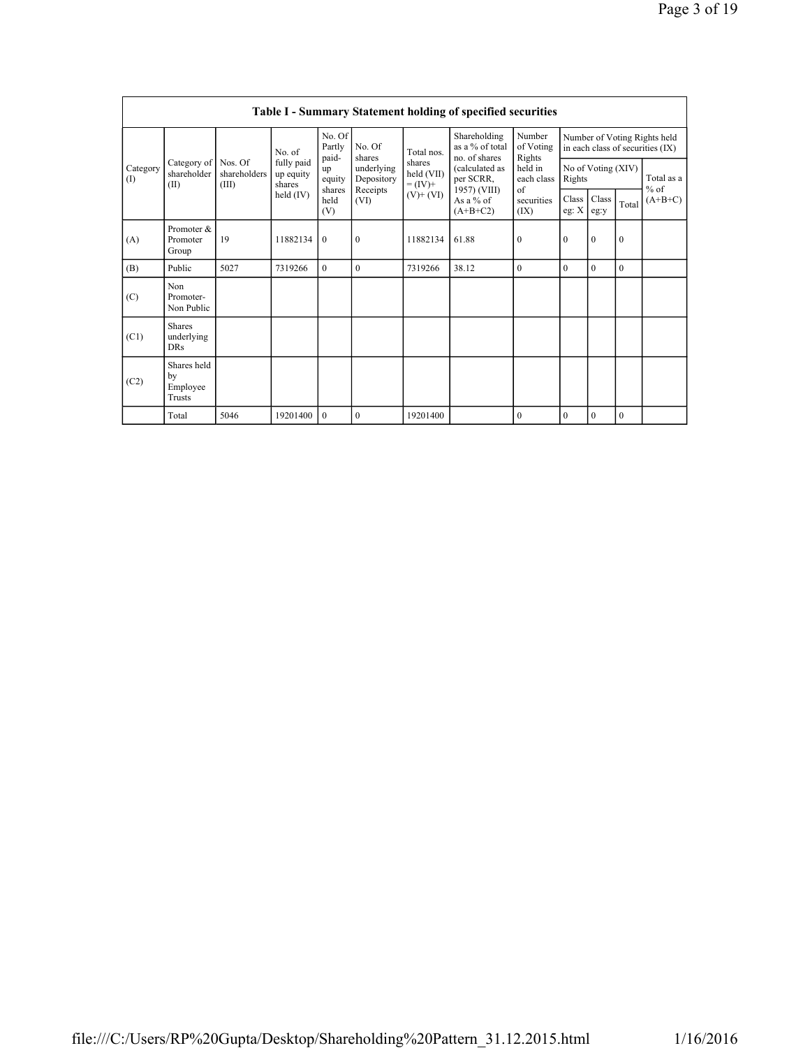|                 | Table I - Summary Statement holding of specified securities |                       |                                   |                           |                          |                                                  |                                                                                                                              |                                                                                    |                                                                  |               |              |                     |  |
|-----------------|-------------------------------------------------------------|-----------------------|-----------------------------------|---------------------------|--------------------------|--------------------------------------------------|------------------------------------------------------------------------------------------------------------------------------|------------------------------------------------------------------------------------|------------------------------------------------------------------|---------------|--------------|---------------------|--|
| Category<br>(I) |                                                             |                       | No. of                            | No. Of<br>Partly<br>paid- | No. Of<br>shares         | Total nos.                                       | Shareholding<br>as a % of total<br>no. of shares<br>(calculated as<br>per SCRR,<br>1957) (VIII)<br>As a $%$ of<br>$(A+B+C2)$ | Number<br>of Voting<br>Rights<br>held in<br>each class<br>of<br>securities<br>(IX) | Number of Voting Rights held<br>in each class of securities (IX) |               |              |                     |  |
|                 | Category of Nos. Of<br>shareholder<br>(II)                  | shareholders<br>(III) | fully paid<br>up equity<br>shares | up<br>equity              | underlying<br>Depository | shares<br>held (VII)<br>$= (IV) +$<br>$(V)+(VI)$ |                                                                                                                              |                                                                                    | No of Voting (XIV)<br>Rights                                     |               |              | Total as a          |  |
|                 |                                                             |                       | held $(IV)$                       | shares<br>held<br>(V)     | Receipts<br>(VI)         |                                                  |                                                                                                                              |                                                                                    | Class<br>eg: $X$                                                 | Class<br>eg:y | Total        | $%$ of<br>$(A+B+C)$ |  |
| (A)             | Promoter &<br>Promoter<br>Group                             | 19                    | 11882134                          | $\theta$                  | $\mathbf{0}$             | 11882134                                         | 61.88                                                                                                                        | $\mathbf{0}$                                                                       | $\mathbf{0}$                                                     | $\mathbf{0}$  | $\mathbf{0}$ |                     |  |
| (B)             | Public                                                      | 5027                  | 7319266                           | $\theta$                  | $\theta$                 | 7319266                                          | 38.12                                                                                                                        | $\theta$                                                                           | $\theta$                                                         | $\theta$      | $\theta$     |                     |  |
| (C)             | Non<br>Promoter-<br>Non Public                              |                       |                                   |                           |                          |                                                  |                                                                                                                              |                                                                                    |                                                                  |               |              |                     |  |
| (C1)            | <b>Shares</b><br>underlying<br><b>DRs</b>                   |                       |                                   |                           |                          |                                                  |                                                                                                                              |                                                                                    |                                                                  |               |              |                     |  |
| (C2)            | Shares held<br>bv<br>Employee<br>Trusts                     |                       |                                   |                           |                          |                                                  |                                                                                                                              |                                                                                    |                                                                  |               |              |                     |  |
|                 | Total                                                       | 5046                  | 19201400                          | $\theta$                  | $\mathbf{0}$             | 19201400                                         |                                                                                                                              | $\mathbf{0}$                                                                       | $\mathbf{0}$                                                     | $\theta$      | $\mathbf{0}$ |                     |  |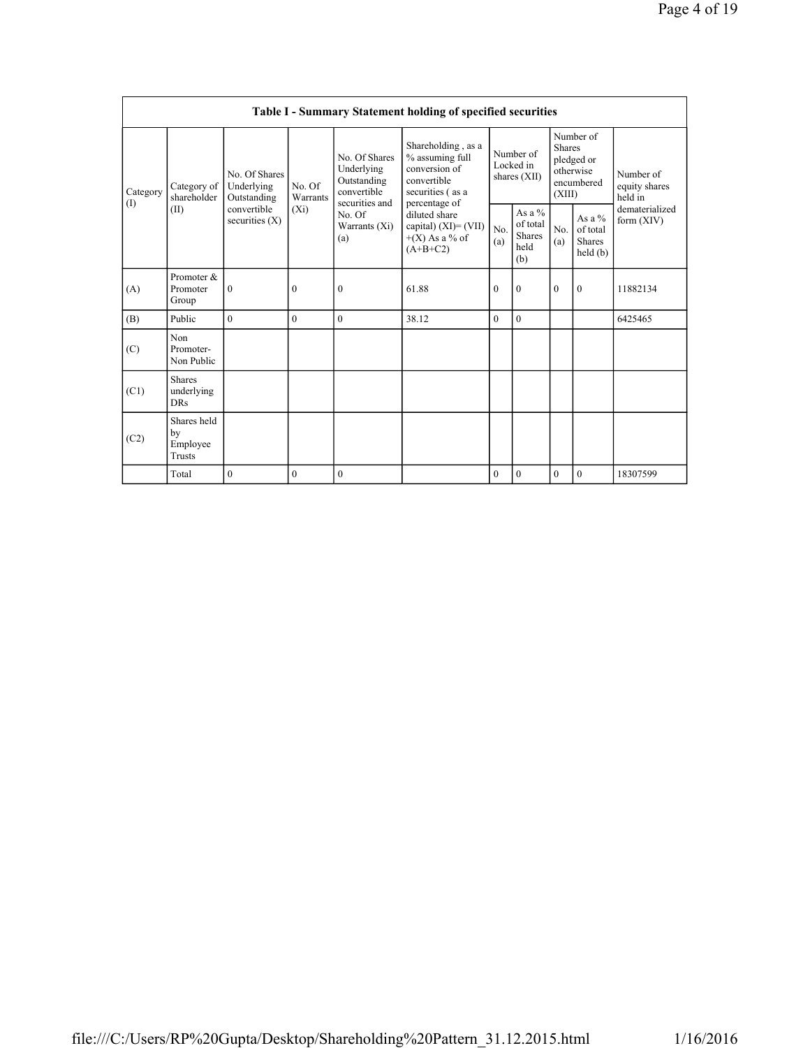|                 | Table I - Summary Statement holding of specified securities |                                                                               |                               |                                                                                                               |                                                                                                            |                                        |                                                      |                                                                               |                                                  |                                       |  |  |
|-----------------|-------------------------------------------------------------|-------------------------------------------------------------------------------|-------------------------------|---------------------------------------------------------------------------------------------------------------|------------------------------------------------------------------------------------------------------------|----------------------------------------|------------------------------------------------------|-------------------------------------------------------------------------------|--------------------------------------------------|---------------------------------------|--|--|
| Category<br>(1) | Category of<br>shareholder<br>(II)                          | No. Of Shares<br>Underlying<br>Outstanding<br>convertible<br>securities $(X)$ | No. Of<br>Warrants<br>$(X_i)$ | No. Of Shares<br>Underlying<br>Outstanding<br>convertible<br>securities and<br>No. Of<br>Warrants (Xi)<br>(a) | Shareholding, as a<br>% assuming full<br>conversion of<br>convertible<br>securities (as a<br>percentage of | Number of<br>Locked in<br>shares (XII) |                                                      | Number of<br><b>Shares</b><br>pledged or<br>otherwise<br>encumbered<br>(XIII) |                                                  | Number of<br>equity shares<br>held in |  |  |
|                 |                                                             |                                                                               |                               |                                                                                                               | diluted share<br>capital) $(XI) = (VII)$<br>$+(X)$ As a % of<br>$(A+B+C2)$                                 | No.<br>(a)                             | As a $%$<br>of total<br><b>Shares</b><br>held<br>(b) | No.<br>(a)                                                                    | As a $%$<br>of total<br><b>Shares</b><br>held(b) | dematerialized<br>form $(XIV)$        |  |  |
| (A)             | Promoter &<br>Promoter<br>Group                             | $\boldsymbol{0}$                                                              | $\mathbf{0}$                  | $\mathbf{0}$                                                                                                  | 61.88                                                                                                      | $\mathbf{0}$                           | $\mathbf{0}$                                         | $\mathbf{0}$                                                                  | $\mathbf{0}$                                     | 11882134                              |  |  |
| (B)             | Public                                                      | $\theta$                                                                      | $\theta$                      | $\theta$                                                                                                      | 38.12                                                                                                      | $\theta$                               | $\Omega$                                             |                                                                               |                                                  | 6425465                               |  |  |
| (C)             | Non<br>Promoter-<br>Non Public                              |                                                                               |                               |                                                                                                               |                                                                                                            |                                        |                                                      |                                                                               |                                                  |                                       |  |  |
| (C1)            | <b>Shares</b><br>underlying<br><b>DRs</b>                   |                                                                               |                               |                                                                                                               |                                                                                                            |                                        |                                                      |                                                                               |                                                  |                                       |  |  |
| (C2)            | Shares held<br>by<br>Employee<br><b>Trusts</b>              |                                                                               |                               |                                                                                                               |                                                                                                            |                                        |                                                      |                                                                               |                                                  |                                       |  |  |
|                 | Total                                                       | $\mathbf{0}$                                                                  | $\overline{0}$                | $\mathbf{0}$                                                                                                  |                                                                                                            | $\overline{0}$                         | $\mathbf{0}$                                         | $\mathbf{0}$                                                                  | $\mathbf{0}$                                     | 18307599                              |  |  |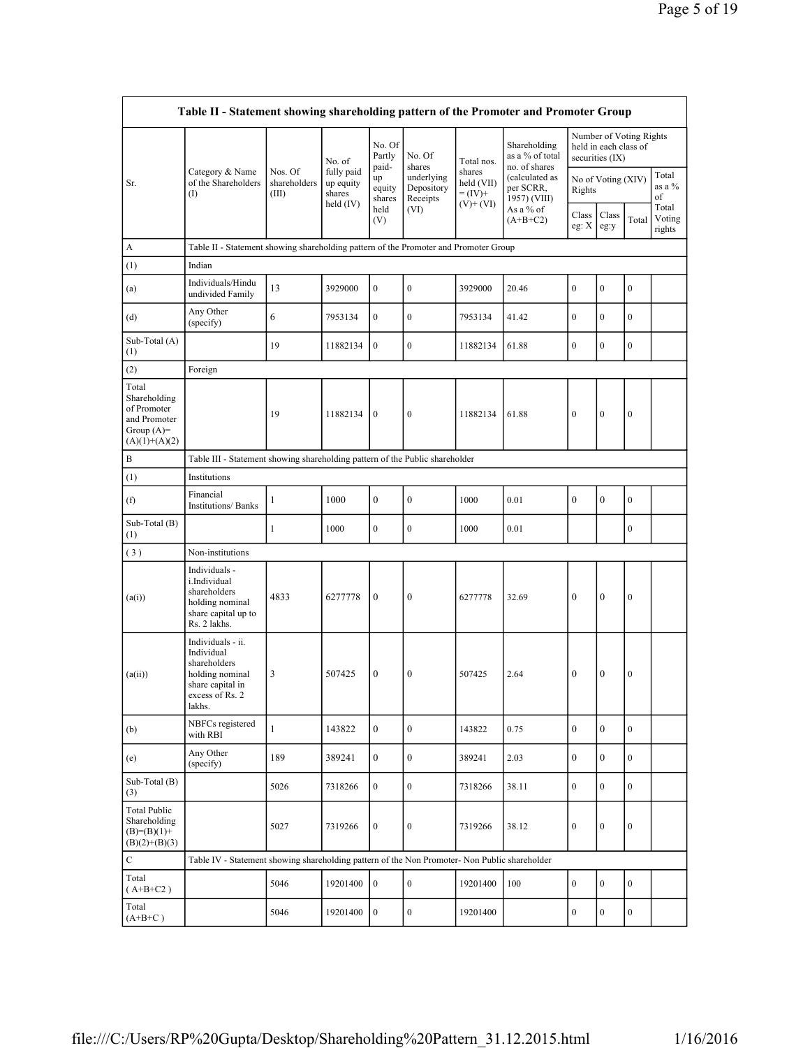| Table II - Statement showing shareholding pattern of the Promoter and Promoter Group    |                                                                                                                     |                                  |                                                |                                 |                                                |                                                      |                                                  |                              |                                                                     |                  |                           |  |
|-----------------------------------------------------------------------------------------|---------------------------------------------------------------------------------------------------------------------|----------------------------------|------------------------------------------------|---------------------------------|------------------------------------------------|------------------------------------------------------|--------------------------------------------------|------------------------------|---------------------------------------------------------------------|------------------|---------------------------|--|
|                                                                                         |                                                                                                                     |                                  | No. of                                         | No. Of<br>Partly                | No. Of                                         | Total nos.                                           | Shareholding<br>as a % of total<br>no. of shares |                              | Number of Voting Rights<br>held in each class of<br>securities (IX) |                  |                           |  |
| Sr.                                                                                     | Category & Name<br>of the Shareholders<br>(                                                                         | Nos. Of<br>shareholders<br>(III) | fully paid<br>up equity<br>shares<br>held (IV) | paid-<br>up<br>equity<br>shares | shares<br>underlying<br>Depository<br>Receipts | shares<br>held (VII)<br>$= (IV) +$<br>$(V)$ + $(VI)$ | (calculated as<br>per SCRR,<br>1957) (VIII)      | No of Voting (XIV)<br>Rights |                                                                     |                  | Total<br>as a %<br>of     |  |
|                                                                                         |                                                                                                                     |                                  |                                                | held<br>(V)                     | (VI)                                           |                                                      | As a % of<br>$(A+B+C2)$                          | Class<br>eg: X               | Class<br>eg:y                                                       | Total            | Total<br>Voting<br>rights |  |
| A                                                                                       | Table II - Statement showing shareholding pattern of the Promoter and Promoter Group                                |                                  |                                                |                                 |                                                |                                                      |                                                  |                              |                                                                     |                  |                           |  |
| (1)                                                                                     | Indian                                                                                                              |                                  |                                                |                                 |                                                |                                                      |                                                  |                              |                                                                     |                  |                           |  |
| (a)                                                                                     | Individuals/Hindu<br>undivided Family                                                                               | 13                               | 3929000                                        | $\boldsymbol{0}$                | $\boldsymbol{0}$                               | 3929000                                              | 20.46                                            | $\boldsymbol{0}$             | $\mathbf{0}$                                                        | $\boldsymbol{0}$ |                           |  |
| (d)                                                                                     | Any Other<br>(specify)                                                                                              | 6                                | 7953134                                        | $\boldsymbol{0}$                | $\boldsymbol{0}$                               | 7953134                                              | 41.42                                            | $\boldsymbol{0}$             | $\mathbf{0}$                                                        | $\boldsymbol{0}$ |                           |  |
| Sub-Total (A)<br>(1)                                                                    |                                                                                                                     | 19                               | 11882134                                       | $\mathbf{0}$                    | $\boldsymbol{0}$                               | 11882134                                             | 61.88                                            | $\boldsymbol{0}$             | $\mathbf{0}$                                                        | $\boldsymbol{0}$ |                           |  |
| (2)                                                                                     | Foreign                                                                                                             |                                  |                                                |                                 |                                                |                                                      |                                                  |                              |                                                                     |                  |                           |  |
| Total<br>Shareholding<br>of Promoter<br>and Promoter<br>Group $(A)=$<br>$(A)(1)+(A)(2)$ |                                                                                                                     | 19                               | 11882134                                       | $\boldsymbol{0}$                | $\boldsymbol{0}$                               | 11882134                                             | 61.88                                            | $\boldsymbol{0}$             | $\boldsymbol{0}$                                                    | $\boldsymbol{0}$ |                           |  |
| B                                                                                       | Table III - Statement showing shareholding pattern of the Public shareholder                                        |                                  |                                                |                                 |                                                |                                                      |                                                  |                              |                                                                     |                  |                           |  |
| (1)                                                                                     | Institutions                                                                                                        |                                  |                                                |                                 |                                                |                                                      |                                                  |                              |                                                                     |                  |                           |  |
| (f)                                                                                     | Financial<br><b>Institutions/ Banks</b>                                                                             | $\mathbf{1}$                     | 1000                                           | $\boldsymbol{0}$                | $\boldsymbol{0}$                               | 1000                                                 | 0.01                                             | $\boldsymbol{0}$             | $\boldsymbol{0}$                                                    | $\boldsymbol{0}$ |                           |  |
| Sub-Total (B)<br>(1)                                                                    |                                                                                                                     | $\mathbf{1}$                     | 1000                                           | $\boldsymbol{0}$                | $\boldsymbol{0}$                               | 1000                                                 | 0.01                                             |                              |                                                                     | $\boldsymbol{0}$ |                           |  |
| (3)                                                                                     | Non-institutions                                                                                                    |                                  |                                                |                                 |                                                |                                                      |                                                  |                              |                                                                     |                  |                           |  |
| (a(i))                                                                                  | Individuals -<br>i.Individual<br>shareholders<br>holding nominal<br>share capital up to<br>Rs. 2 lakhs.             | 4833                             | 6277778                                        | $\boldsymbol{0}$                | $\boldsymbol{0}$                               | 6277778                                              | 32.69                                            | $\boldsymbol{0}$             | $\mathbf{0}$                                                        | $\boldsymbol{0}$ |                           |  |
| (a(ii))                                                                                 | Individuals - ii.<br>Individual<br>shareholders<br>holding nominal<br>share capital in<br>excess of Rs. 2<br>lakhs. | 3                                | 507425                                         | $\boldsymbol{0}$                | $\boldsymbol{0}$                               | 507425                                               | 2.64                                             | $\boldsymbol{0}$             | $\mathbf{0}$                                                        | $\boldsymbol{0}$ |                           |  |
| (b)                                                                                     | NBFCs registered<br>with RBI                                                                                        | $\mathbf{1}$                     | 143822                                         | $\mathbf{0}$                    | $\boldsymbol{0}$                               | 143822                                               | 0.75                                             | $\mathbf{0}$                 | $\mathbf{0}$                                                        | $\overline{0}$   |                           |  |
| (e)                                                                                     | Any Other<br>(specify)                                                                                              | 189                              | 389241                                         | $\mathbf{0}$                    | $\boldsymbol{0}$                               | 389241                                               | 2.03                                             | $\mathbf{0}$                 | $\mathbf{0}$                                                        | $\overline{0}$   |                           |  |
| Sub-Total (B)<br>(3)                                                                    |                                                                                                                     | 5026                             | 7318266                                        | $\boldsymbol{0}$                | $\boldsymbol{0}$                               | 7318266                                              | 38.11                                            | $\boldsymbol{0}$             | $\mathbf{0}$                                                        | $\overline{0}$   |                           |  |
| <b>Total Public</b><br>Shareholding<br>$(B)=(B)(1)+$<br>$(B)(2)+(B)(3)$                 |                                                                                                                     | 5027                             | 7319266                                        | $\boldsymbol{0}$                | $\boldsymbol{0}$                               | 7319266                                              | 38.12                                            | $\boldsymbol{0}$             | $\boldsymbol{0}$                                                    | $\boldsymbol{0}$ |                           |  |
| $\mathbf C$                                                                             | Table IV - Statement showing shareholding pattern of the Non Promoter- Non Public shareholder                       |                                  |                                                |                                 |                                                |                                                      |                                                  |                              |                                                                     |                  |                           |  |
| Total<br>$(A+B+C2)$                                                                     |                                                                                                                     | 5046                             | 19201400                                       | $\boldsymbol{0}$                | $\overline{0}$                                 | 19201400                                             | 100                                              | $\boldsymbol{0}$             | $\mathbf{0}$                                                        | $\overline{0}$   |                           |  |
| Total<br>$(A+B+C)$                                                                      |                                                                                                                     | 5046                             | 19201400                                       | $\boldsymbol{0}$                | $\boldsymbol{0}$                               | 19201400                                             |                                                  | $\boldsymbol{0}$             | $\bf{0}$                                                            | $\overline{0}$   |                           |  |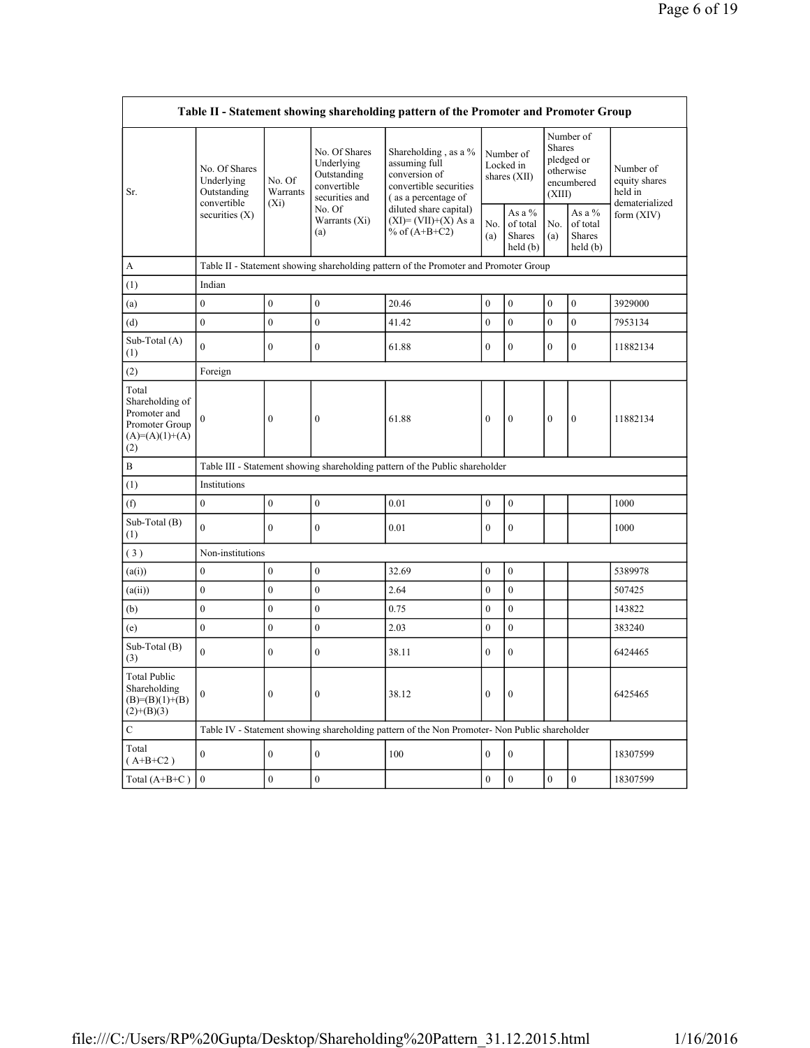| Table II - Statement showing shareholding pattern of the Promoter and Promoter Group  |                                                                               |                               |                                                                                                               |                                                                                                         |                  |                                          |                  |                                                                               |                                                         |  |  |
|---------------------------------------------------------------------------------------|-------------------------------------------------------------------------------|-------------------------------|---------------------------------------------------------------------------------------------------------------|---------------------------------------------------------------------------------------------------------|------------------|------------------------------------------|------------------|-------------------------------------------------------------------------------|---------------------------------------------------------|--|--|
| Sr.                                                                                   | No. Of Shares<br>Underlying<br>Outstanding<br>convertible<br>securities $(X)$ | No. Of<br>Warrants<br>$(X_i)$ | No. Of Shares<br>Underlying<br>Outstanding<br>convertible<br>securities and<br>No. Of<br>Warrants (Xi)<br>(a) | Shareholding, as a %<br>assuming full<br>conversion of<br>convertible securities<br>(as a percentage of |                  | Number of<br>Locked in<br>shares $(XII)$ |                  | Number of<br><b>Shares</b><br>pledged or<br>otherwise<br>encumbered<br>(XIII) | Number of<br>equity shares<br>held in<br>dematerialized |  |  |
|                                                                                       |                                                                               |                               |                                                                                                               | diluted share capital)<br>$(XI) = (VII)+(X) As a$<br>% of $(A+B+C2)$                                    | No.<br>(a)       | As a %<br>of total<br>Shares<br>held (b) | No.<br>(a)       | As a %<br>of total<br><b>Shares</b><br>held(b)                                | form $(XIV)$                                            |  |  |
| A                                                                                     |                                                                               |                               |                                                                                                               | Table II - Statement showing shareholding pattern of the Promoter and Promoter Group                    |                  |                                          |                  |                                                                               |                                                         |  |  |
| (1)                                                                                   | Indian                                                                        |                               |                                                                                                               |                                                                                                         |                  |                                          |                  |                                                                               |                                                         |  |  |
| (a)                                                                                   | $\overline{0}$                                                                | $\boldsymbol{0}$              | $\boldsymbol{0}$                                                                                              | 20.46                                                                                                   | $\boldsymbol{0}$ | $\boldsymbol{0}$                         | $\boldsymbol{0}$ | $\boldsymbol{0}$                                                              | 3929000                                                 |  |  |
| (d)                                                                                   | $\overline{0}$                                                                | $\boldsymbol{0}$              | $\mathbf{0}$                                                                                                  | 41.42                                                                                                   | $\mathbf{0}$     | $\overline{0}$                           | $\overline{0}$   | $\mathbf{0}$                                                                  | 7953134                                                 |  |  |
| Sub-Total (A)<br>(1)                                                                  | $\overline{0}$                                                                | $\overline{0}$                | $\mathbf{0}$                                                                                                  | 61.88                                                                                                   | $\mathbf{0}$     | $\mathbf{0}$                             | $\overline{0}$   | $\overline{0}$                                                                | 11882134                                                |  |  |
| (2)                                                                                   | Foreign                                                                       |                               |                                                                                                               |                                                                                                         |                  |                                          |                  |                                                                               |                                                         |  |  |
| Total<br>Shareholding of<br>Promoter and<br>Promoter Group<br>$(A)=(A)(1)+(A)$<br>(2) | $\boldsymbol{0}$                                                              | $\boldsymbol{0}$              | $\boldsymbol{0}$                                                                                              | 61.88                                                                                                   | $\mathbf{0}$     | $\boldsymbol{0}$                         | $\boldsymbol{0}$ | $\boldsymbol{0}$                                                              | 11882134                                                |  |  |
| $\, {\bf B}$                                                                          |                                                                               |                               |                                                                                                               | Table III - Statement showing shareholding pattern of the Public shareholder                            |                  |                                          |                  |                                                                               |                                                         |  |  |
| (1)                                                                                   | Institutions                                                                  |                               |                                                                                                               |                                                                                                         |                  |                                          |                  |                                                                               |                                                         |  |  |
| (f)                                                                                   | $\overline{0}$                                                                | $\boldsymbol{0}$              | $\boldsymbol{0}$                                                                                              | 0.01                                                                                                    | $\boldsymbol{0}$ | $\mathbf{0}$                             |                  |                                                                               | 1000                                                    |  |  |
| Sub-Total (B)<br>(1)                                                                  | $\overline{0}$                                                                | $\overline{0}$                | $\mathbf{0}$                                                                                                  | 0.01                                                                                                    | $\mathbf{0}$     | $\mathbf{0}$                             |                  |                                                                               | 1000                                                    |  |  |
| (3)                                                                                   | Non-institutions                                                              |                               |                                                                                                               |                                                                                                         |                  |                                          |                  |                                                                               |                                                         |  |  |
| (a(i))                                                                                | $\overline{0}$                                                                | $\boldsymbol{0}$              | $\boldsymbol{0}$                                                                                              | 32.69                                                                                                   | $\mathbf{0}$     | $\boldsymbol{0}$                         |                  |                                                                               | 5389978                                                 |  |  |
| (a(ii))                                                                               | $\overline{0}$                                                                | $\overline{0}$                | $\mathbf{0}$                                                                                                  | 2.64                                                                                                    | $\mathbf{0}$     | $\mathbf{0}$                             |                  |                                                                               | 507425                                                  |  |  |
| (b)                                                                                   | $\boldsymbol{0}$                                                              | $\boldsymbol{0}$              | $\overline{0}$                                                                                                | 0.75                                                                                                    | $\boldsymbol{0}$ | $\boldsymbol{0}$                         |                  |                                                                               | 143822                                                  |  |  |
| (e)                                                                                   | $\overline{0}$                                                                | $\boldsymbol{0}$              | $\overline{0}$                                                                                                | 2.03                                                                                                    | $\boldsymbol{0}$ | $\mathbf{0}$                             |                  |                                                                               | 383240                                                  |  |  |
| Sub-Total (B)<br>(3)                                                                  | $\overline{0}$                                                                | $\overline{0}$                | $\mathbf{0}$                                                                                                  | 38.11                                                                                                   | $\mathbf{0}$     | $\overline{0}$                           |                  |                                                                               | 6424465                                                 |  |  |
| <b>Total Public</b><br>Shareholding<br>$(B)= (B)(1)+(B)$<br>$(2)+(B)(3)$              | $\overline{0}$                                                                | $\overline{0}$                | $\boldsymbol{0}$                                                                                              | 38.12                                                                                                   | $\mathbf{0}$     | $\mathbf{0}$                             |                  |                                                                               | 6425465                                                 |  |  |
| $\mathbf C$                                                                           |                                                                               |                               |                                                                                                               | Table IV - Statement showing shareholding pattern of the Non Promoter- Non Public shareholder           |                  |                                          |                  |                                                                               |                                                         |  |  |
| Total<br>$(A+B+C2)$                                                                   | $\overline{0}$                                                                | $\boldsymbol{0}$              | $\boldsymbol{0}$                                                                                              | 100                                                                                                     | $\boldsymbol{0}$ | $\boldsymbol{0}$                         |                  |                                                                               | 18307599                                                |  |  |
| Total $(A+B+C)$                                                                       | $\boldsymbol{0}$                                                              | $\boldsymbol{0}$              | $\boldsymbol{0}$                                                                                              |                                                                                                         | $\boldsymbol{0}$ | $\boldsymbol{0}$                         | $\boldsymbol{0}$ | $\boldsymbol{0}$                                                              | 18307599                                                |  |  |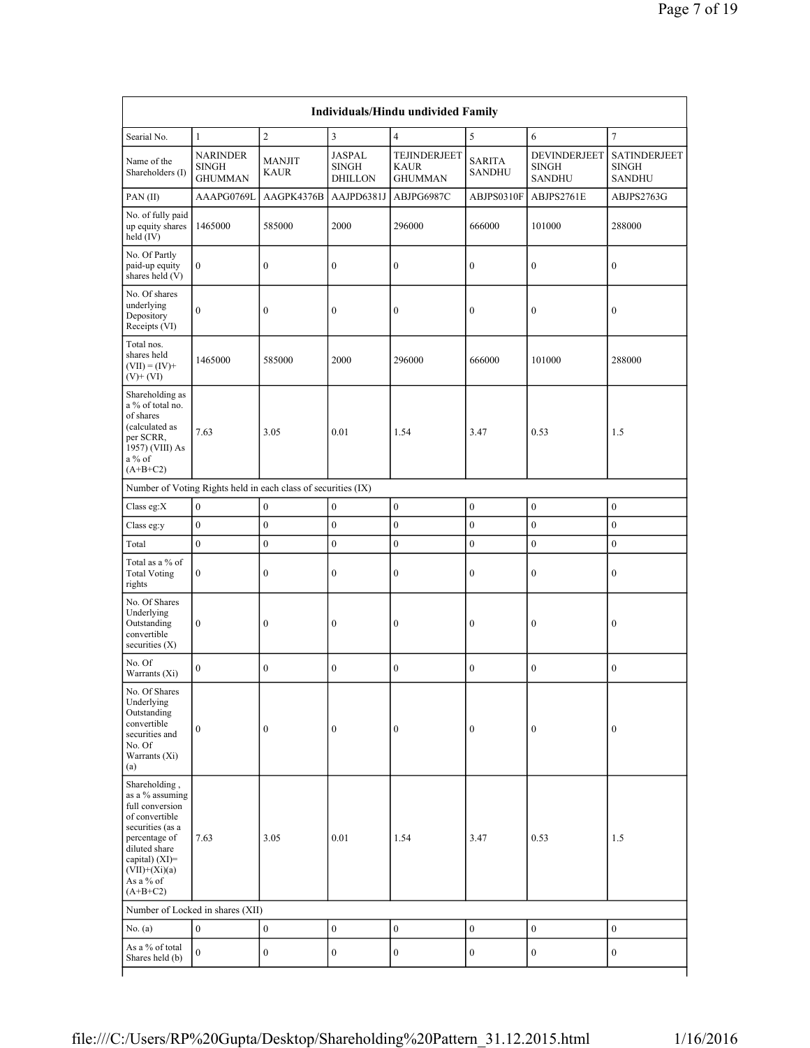| Individuals/Hindu undivided Family                                                                                                                                                            |                                                               |                              |                                                 |                                               |                                |                                               |                                                      |  |  |  |  |
|-----------------------------------------------------------------------------------------------------------------------------------------------------------------------------------------------|---------------------------------------------------------------|------------------------------|-------------------------------------------------|-----------------------------------------------|--------------------------------|-----------------------------------------------|------------------------------------------------------|--|--|--|--|
| Searial No.                                                                                                                                                                                   | $\mathbf{1}$                                                  | $\sqrt{2}$                   | $\overline{3}$                                  | $\overline{4}$                                | $\sqrt{5}$                     | 6                                             | $\tau$                                               |  |  |  |  |
| Name of the<br>Shareholders (I)                                                                                                                                                               | <b>NARINDER</b><br><b>SINGH</b><br><b>GHUMMAN</b>             | <b>MANJIT</b><br><b>KAUR</b> | <b>JASPAL</b><br><b>SINGH</b><br><b>DHILLON</b> | TEJINDERJEET<br><b>KAUR</b><br><b>GHUMMAN</b> | <b>SARITA</b><br><b>SANDHU</b> | DEVINDERJEET<br><b>SINGH</b><br><b>SANDHU</b> | <b>SATINDERJEET</b><br><b>SINGH</b><br><b>SANDHU</b> |  |  |  |  |
| PAN(II)                                                                                                                                                                                       | AAAPG0769L                                                    | AAGPK4376B                   | AAJPD6381J                                      | ABJPG6987C                                    | ABJPS0310F                     | ABJPS2761E                                    | ABJPS2763G                                           |  |  |  |  |
| No. of fully paid<br>up equity shares<br>held (IV)                                                                                                                                            | 1465000                                                       | 585000                       | 2000                                            | 296000                                        | 666000                         | 101000                                        | 288000                                               |  |  |  |  |
| No. Of Partly<br>paid-up equity<br>shares held (V)                                                                                                                                            | $\boldsymbol{0}$                                              | $\boldsymbol{0}$             | $\boldsymbol{0}$                                | $\boldsymbol{0}$                              | $\boldsymbol{0}$               | $\boldsymbol{0}$                              | $\boldsymbol{0}$                                     |  |  |  |  |
| No. Of shares<br>underlying<br>Depository<br>Receipts (VI)                                                                                                                                    | $\boldsymbol{0}$                                              | $\boldsymbol{0}$             | $\boldsymbol{0}$                                | $\boldsymbol{0}$                              | $\boldsymbol{0}$               | $\boldsymbol{0}$                              | $\boldsymbol{0}$                                     |  |  |  |  |
| Total nos.<br>shares held<br>$(VII) = (IV) +$<br>$(V)$ + $(VI)$                                                                                                                               | 1465000                                                       | 585000                       | 2000                                            | 296000                                        | 666000                         | 101000                                        | 288000                                               |  |  |  |  |
| Shareholding as<br>a % of total no.<br>of shares<br>(calculated as<br>per SCRR,<br>1957) (VIII) As<br>$a\%$ of<br>$(A+B+C2)$                                                                  | 7.63                                                          | 3.05                         | 0.01                                            | 1.54                                          | 3.47                           | 0.53                                          | 1.5                                                  |  |  |  |  |
|                                                                                                                                                                                               | Number of Voting Rights held in each class of securities (IX) |                              |                                                 |                                               |                                |                                               |                                                      |  |  |  |  |
| Class eg:X                                                                                                                                                                                    | $\boldsymbol{0}$                                              | $\boldsymbol{0}$             | $\boldsymbol{0}$                                | $\mathbf{0}$                                  | $\boldsymbol{0}$               | $\boldsymbol{0}$                              | $\boldsymbol{0}$                                     |  |  |  |  |
| Class eg:y                                                                                                                                                                                    | $\boldsymbol{0}$                                              | $\boldsymbol{0}$             | $\boldsymbol{0}$                                | $\boldsymbol{0}$                              | $\boldsymbol{0}$               | $\boldsymbol{0}$                              | $\boldsymbol{0}$                                     |  |  |  |  |
| Total                                                                                                                                                                                         | $\boldsymbol{0}$                                              | $\boldsymbol{0}$             | $\boldsymbol{0}$                                | $\boldsymbol{0}$                              | $\boldsymbol{0}$               | $\boldsymbol{0}$                              | $\boldsymbol{0}$                                     |  |  |  |  |
| Total as a % of<br><b>Total Voting</b><br>rights                                                                                                                                              | $\boldsymbol{0}$                                              | $\boldsymbol{0}$             | $\boldsymbol{0}$                                | $\boldsymbol{0}$                              | $\boldsymbol{0}$               | $\boldsymbol{0}$                              | $\boldsymbol{0}$                                     |  |  |  |  |
| No. Of Shares<br>Underlying<br>Outstanding<br>convertible<br>securities $(X)$                                                                                                                 | $\boldsymbol{0}$                                              | $\boldsymbol{0}$             | $\boldsymbol{0}$                                | $\boldsymbol{0}$                              | $\boldsymbol{0}$               | $\boldsymbol{0}$                              | $\boldsymbol{0}$                                     |  |  |  |  |
| No. Of<br>Warrants (Xi)                                                                                                                                                                       | $\mathbf{0}$                                                  | $\boldsymbol{0}$             | $\boldsymbol{0}$                                | $\boldsymbol{0}$                              | $\boldsymbol{0}$               | $\boldsymbol{0}$                              | $\boldsymbol{0}$                                     |  |  |  |  |
| No. Of Shares<br>Underlying<br>Outstanding<br>convertible<br>securities and<br>No. Of<br>Warrants (Xi)<br>(a)                                                                                 | $\boldsymbol{0}$                                              | $\boldsymbol{0}$             | $\boldsymbol{0}$                                | $\boldsymbol{0}$                              | $\boldsymbol{0}$               | $\boldsymbol{0}$                              | $\boldsymbol{0}$                                     |  |  |  |  |
| Shareholding,<br>as a % assuming<br>full conversion<br>of convertible<br>securities (as a<br>percentage of<br>diluted share<br>capital) $(XI)=$<br>$(VII)+(Xi)(a)$<br>As a % of<br>$(A+B+C2)$ | 7.63                                                          | 3.05                         | 0.01                                            | 1.54                                          | 3.47                           | 0.53                                          | 1.5                                                  |  |  |  |  |
| Number of Locked in shares (XII)                                                                                                                                                              |                                                               |                              |                                                 |                                               |                                |                                               |                                                      |  |  |  |  |
| No. $(a)$                                                                                                                                                                                     | $\boldsymbol{0}$                                              | $\boldsymbol{0}$             | $\boldsymbol{0}$                                | $\boldsymbol{0}$                              | $\boldsymbol{0}$               | $\boldsymbol{0}$                              | $\boldsymbol{0}$                                     |  |  |  |  |
| As a % of total<br>Shares held (b)                                                                                                                                                            | $\mathbf{0}$                                                  | $\boldsymbol{0}$             | $\boldsymbol{0}$                                | $\boldsymbol{0}$                              | $\boldsymbol{0}$               | $\boldsymbol{0}$                              | $\boldsymbol{0}$                                     |  |  |  |  |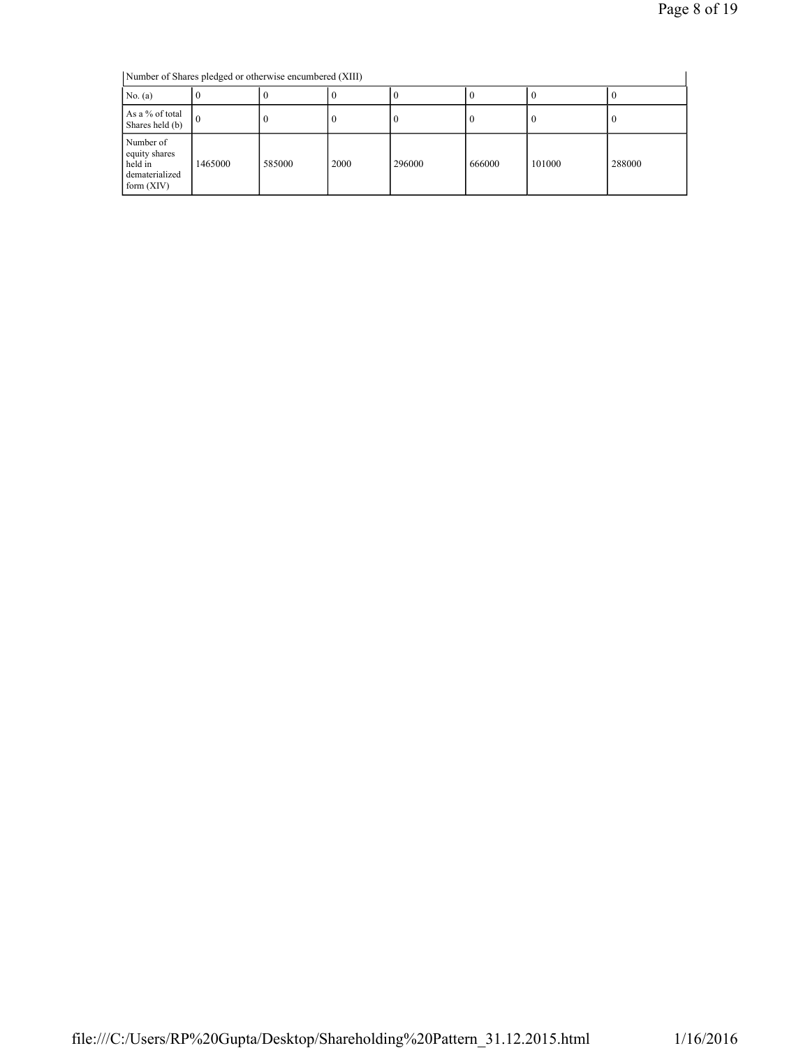Number of Shares pledged or otherwise encumbered (XIII)

| Number of Shares pledged or otherwise encumbered (XIII)                 |          |        |      |        |        |          |        |  |  |
|-------------------------------------------------------------------------|----------|--------|------|--------|--------|----------|--------|--|--|
| No. $(a)$                                                               |          |        |      |        |        | $\bf{0}$ |        |  |  |
| As a % of total<br>Shares held (b)                                      | $\Omega$ |        |      | v      |        | $\theta$ | v      |  |  |
| Number of<br>equity shares<br>held in<br>dematerialized<br>form $(XIV)$ | 1465000  | 585000 | 2000 | 296000 | 666000 | 101000   | 288000 |  |  |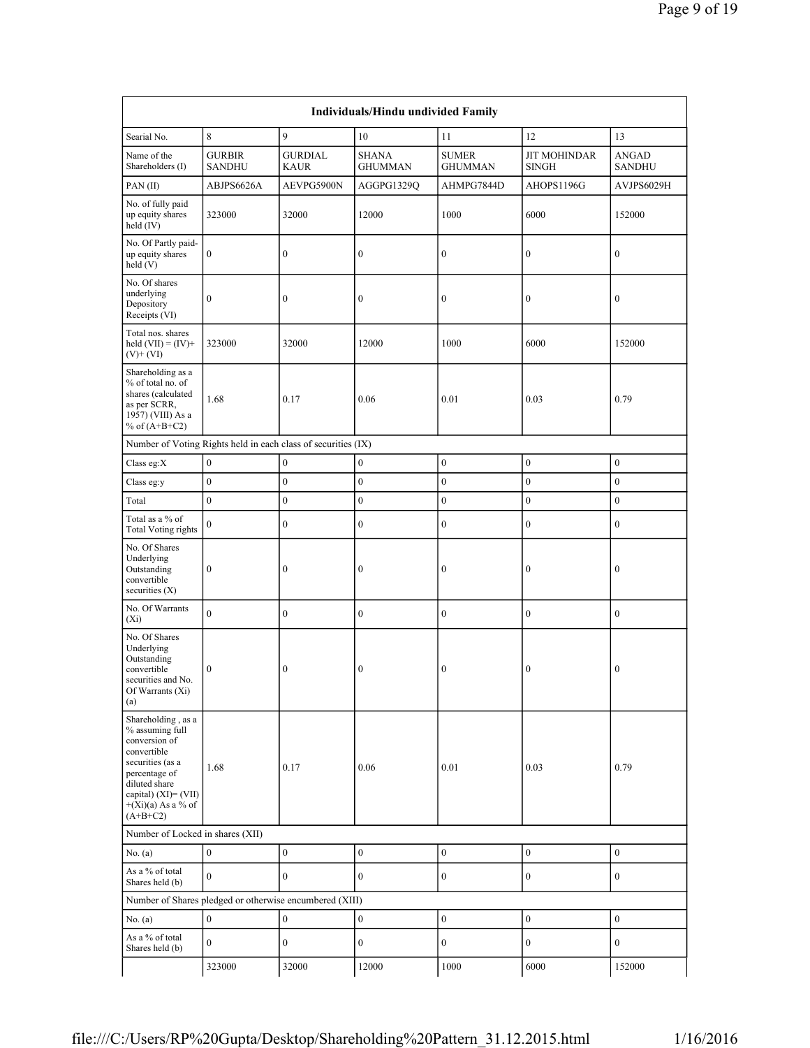| Individuals/Hindu undivided Family                                                                                                                                                        |                                |                               |                                |                                |                                     |                        |  |  |  |  |
|-------------------------------------------------------------------------------------------------------------------------------------------------------------------------------------------|--------------------------------|-------------------------------|--------------------------------|--------------------------------|-------------------------------------|------------------------|--|--|--|--|
| Searial No.                                                                                                                                                                               | 8                              | 9                             | 10                             | 11                             | 12                                  | 13                     |  |  |  |  |
| Name of the<br>Shareholders (I)                                                                                                                                                           | <b>GURBIR</b><br><b>SANDHU</b> | <b>GURDIAL</b><br><b>KAUR</b> | <b>SHANA</b><br><b>GHUMMAN</b> | <b>SUMER</b><br><b>GHUMMAN</b> | <b>JIT MOHINDAR</b><br><b>SINGH</b> | ANGAD<br><b>SANDHU</b> |  |  |  |  |
| PAN(II)                                                                                                                                                                                   | ABJPS6626A                     | AEVPG5900N                    | AGGPG1329Q                     | AHMPG7844D                     | AHOPS1196G                          | AVJPS6029H             |  |  |  |  |
| No. of fully paid<br>up equity shares<br>held (IV)                                                                                                                                        | 323000                         | 32000                         | 12000                          | 1000                           | 6000                                | 152000                 |  |  |  |  |
| No. Of Partly paid-<br>up equity shares<br>held(V)                                                                                                                                        | $\boldsymbol{0}$               | $\boldsymbol{0}$              | $\boldsymbol{0}$               | $\boldsymbol{0}$               | $\boldsymbol{0}$                    | $\boldsymbol{0}$       |  |  |  |  |
| No. Of shares<br>underlying<br>Depository<br>Receipts (VI)                                                                                                                                | $\mathbf{0}$                   | $\mathbf{0}$                  | $\mathbf{0}$                   | $\boldsymbol{0}$               | $\boldsymbol{0}$                    | $\mathbf{0}$           |  |  |  |  |
| Total nos. shares<br>held $(VII) = (IV) +$<br>$(V)+(VI)$                                                                                                                                  | 323000                         | 32000                         | 12000                          | 1000                           | 6000                                | 152000                 |  |  |  |  |
| Shareholding as a<br>% of total no. of<br>shares (calculated<br>as per SCRR,<br>1957) (VIII) As a<br>% of $(A+B+C2)$                                                                      | 1.68                           | 0.17                          | 0.06                           | 0.01                           | 0.03                                | 0.79                   |  |  |  |  |
| Number of Voting Rights held in each class of securities (IX)                                                                                                                             |                                |                               |                                |                                |                                     |                        |  |  |  |  |
| Class eg:X                                                                                                                                                                                | $\boldsymbol{0}$               | $\boldsymbol{0}$              | $\boldsymbol{0}$               | $\boldsymbol{0}$               | $\mathbf{0}$                        | $\boldsymbol{0}$       |  |  |  |  |
| Class eg:y                                                                                                                                                                                | $\boldsymbol{0}$               | $\boldsymbol{0}$              | $\mathbf{0}$                   | $\boldsymbol{0}$               | $\boldsymbol{0}$                    | $\mathbf{0}$           |  |  |  |  |
| Total                                                                                                                                                                                     | $\boldsymbol{0}$               | $\boldsymbol{0}$              | $\boldsymbol{0}$               | $\boldsymbol{0}$               | $\boldsymbol{0}$                    | $\mathbf{0}$           |  |  |  |  |
| Total as a % of<br><b>Total Voting rights</b>                                                                                                                                             | $\mathbf{0}$                   | $\boldsymbol{0}$              | $\boldsymbol{0}$               | $\boldsymbol{0}$               | $\overline{0}$                      | $\overline{0}$         |  |  |  |  |
| No. Of Shares<br>Underlying<br>Outstanding<br>convertible<br>securities $(X)$                                                                                                             | $\boldsymbol{0}$               | $\boldsymbol{0}$              | $\boldsymbol{0}$               | $\boldsymbol{0}$               | $\boldsymbol{0}$                    | $\boldsymbol{0}$       |  |  |  |  |
| No. Of Warrants<br>$(X_i)$                                                                                                                                                                | $\mathbf{0}$                   | $\mathbf{0}$                  | $\overline{0}$                 | $\boldsymbol{0}$               | $\mathbf{0}$                        | $\overline{0}$         |  |  |  |  |
| No. Of Shares<br>Underlying<br>Outstanding<br>convertible<br>securities and No.<br>Of Warrants $(X_1)$<br>(a)                                                                             | $\boldsymbol{0}$               | $\boldsymbol{0}$              | $\boldsymbol{0}$               | $\boldsymbol{0}$               | $\boldsymbol{0}$                    | $\boldsymbol{0}$       |  |  |  |  |
| Shareholding, as a<br>% assuming full<br>conversion of<br>convertible<br>securities (as a<br>percentage of<br>diluted share<br>capital) (XI)= (VII)<br>$+(Xi)(a)$ As a % of<br>$(A+B+C2)$ | 1.68                           | 0.17                          | 0.06                           | 0.01                           | 0.03                                | 0.79                   |  |  |  |  |
| Number of Locked in shares (XII)                                                                                                                                                          |                                |                               |                                |                                |                                     |                        |  |  |  |  |
| No. (a)                                                                                                                                                                                   | $\boldsymbol{0}$               | $\boldsymbol{0}$              | $\boldsymbol{0}$               | $\boldsymbol{0}$               | $\boldsymbol{0}$                    | $\mathbf{0}$           |  |  |  |  |
| As a % of total<br>Shares held (b)                                                                                                                                                        | $\mathbf{0}$                   | $\mathbf{0}$                  | $\boldsymbol{0}$               | $\boldsymbol{0}$               | $\boldsymbol{0}$                    | $\boldsymbol{0}$       |  |  |  |  |
| Number of Shares pledged or otherwise encumbered (XIII)                                                                                                                                   |                                |                               |                                |                                |                                     |                        |  |  |  |  |
| No. $(a)$                                                                                                                                                                                 | $\mathbf{0}$                   | $\boldsymbol{0}$              | $\boldsymbol{0}$               | $\boldsymbol{0}$               | $\mathbf{0}$                        | $\boldsymbol{0}$       |  |  |  |  |
| As a % of total<br>Shares held (b)                                                                                                                                                        | $\mathbf{0}$                   | $\boldsymbol{0}$              | $\boldsymbol{0}$               | $\boldsymbol{0}$               | $\boldsymbol{0}$                    | $\boldsymbol{0}$       |  |  |  |  |
|                                                                                                                                                                                           | 323000                         | 32000                         | 12000                          | 1000                           | 6000                                | 152000                 |  |  |  |  |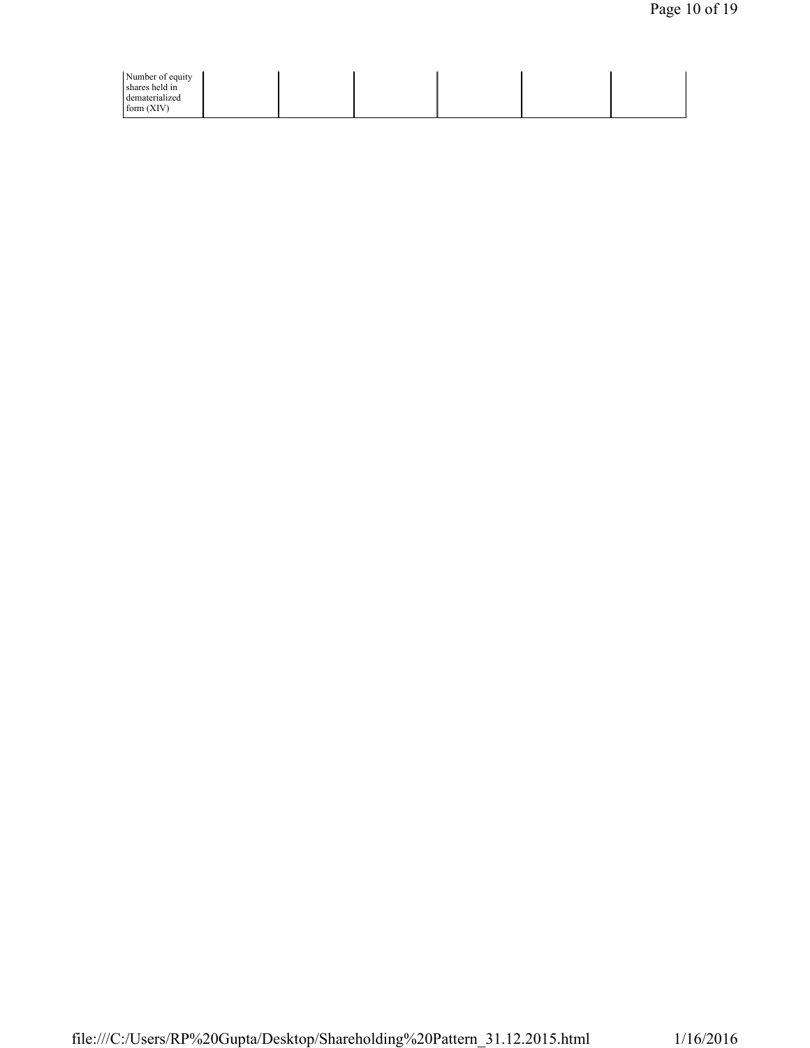| Number of equity<br>shares held in<br>dematerialized<br>form $(XIV)$ |  |  |  |
|----------------------------------------------------------------------|--|--|--|
|                                                                      |  |  |  |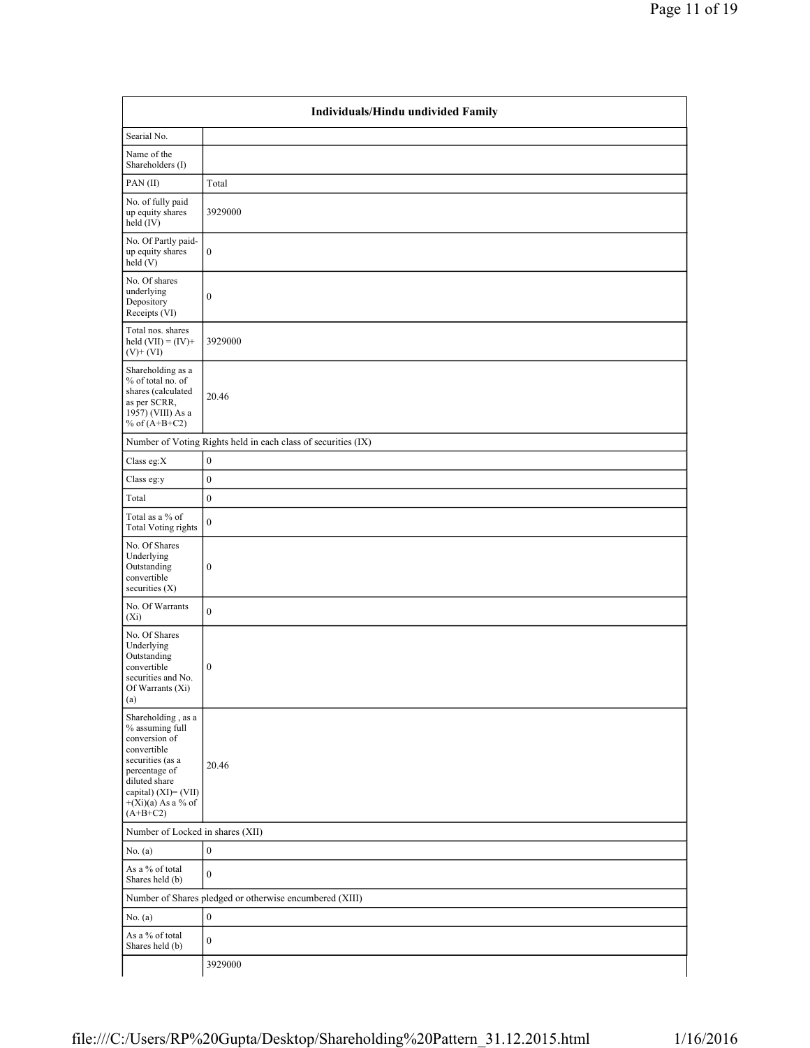|                                                                                                                                                                                           | Individuals/Hindu undivided Family                            |
|-------------------------------------------------------------------------------------------------------------------------------------------------------------------------------------------|---------------------------------------------------------------|
| Searial No.                                                                                                                                                                               |                                                               |
| Name of the<br>Shareholders (I)                                                                                                                                                           |                                                               |
| PAN(II)                                                                                                                                                                                   | Total                                                         |
| No. of fully paid<br>up equity shares<br>$\text{held}(\text{IV})$                                                                                                                         | 3929000                                                       |
| No. Of Partly paid-<br>up equity shares<br>held (V)                                                                                                                                       | $\boldsymbol{0}$                                              |
| No. Of shares<br>underlying<br>Depository<br>Receipts (VI)                                                                                                                                | $\boldsymbol{0}$                                              |
| Total nos. shares<br>held $(VII) = (IV) +$<br>$(V)$ + $(VI)$                                                                                                                              | 3929000                                                       |
| Shareholding as a<br>% of total no. of<br>shares (calculated<br>as per SCRR,<br>1957) (VIII) As a<br>% of $(A+B+C2)$                                                                      | 20.46                                                         |
|                                                                                                                                                                                           | Number of Voting Rights held in each class of securities (IX) |
| Class eg:X                                                                                                                                                                                | $\boldsymbol{0}$                                              |
| Class eg:y                                                                                                                                                                                | $\boldsymbol{0}$                                              |
| Total                                                                                                                                                                                     | $\boldsymbol{0}$                                              |
| Total as a % of<br><b>Total Voting rights</b>                                                                                                                                             | $\boldsymbol{0}$                                              |
| No. Of Shares<br>Underlying<br>Outstanding<br>convertible<br>securities (X)                                                                                                               | $\boldsymbol{0}$                                              |
| No. Of Warrants<br>$(X_i)$                                                                                                                                                                | $\boldsymbol{0}$                                              |
| No. Of Shares<br>Underlying<br>Outstanding<br>convertible<br>securities and No.<br>Of Warrants (Xi)<br>(a)                                                                                | $\boldsymbol{0}$                                              |
| Shareholding, as a<br>% assuming full<br>conversion of<br>convertible<br>securities (as a<br>percentage of<br>diluted share<br>capital) (XI)= (VII)<br>$+(Xi)(a)$ As a % of<br>$(A+B+C2)$ | 20.46                                                         |
| Number of Locked in shares (XII)                                                                                                                                                          |                                                               |
| No. $(a)$                                                                                                                                                                                 | $\boldsymbol{0}$                                              |
| As a % of total<br>Shares held (b)                                                                                                                                                        | $\boldsymbol{0}$                                              |
|                                                                                                                                                                                           | Number of Shares pledged or otherwise encumbered (XIII)       |
| No. $(a)$                                                                                                                                                                                 | $\boldsymbol{0}$                                              |
| As a % of total<br>Shares held (b)                                                                                                                                                        | $\boldsymbol{0}$                                              |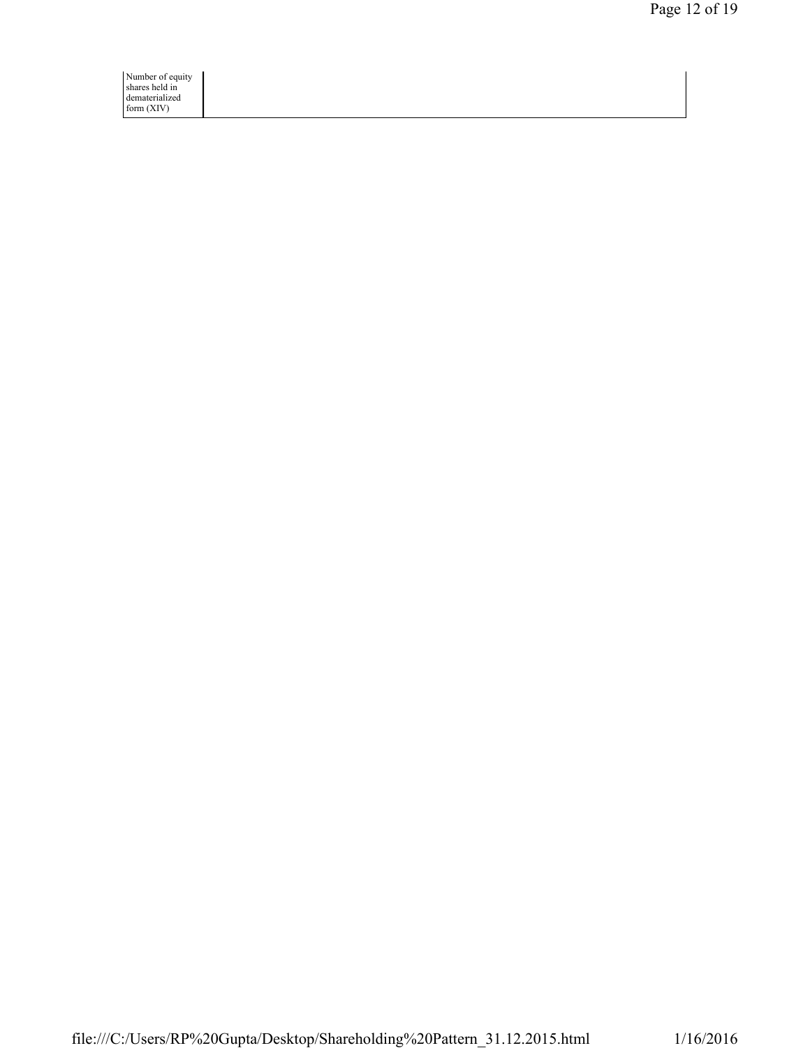Number of equity shares held in dematerialized form (XIV)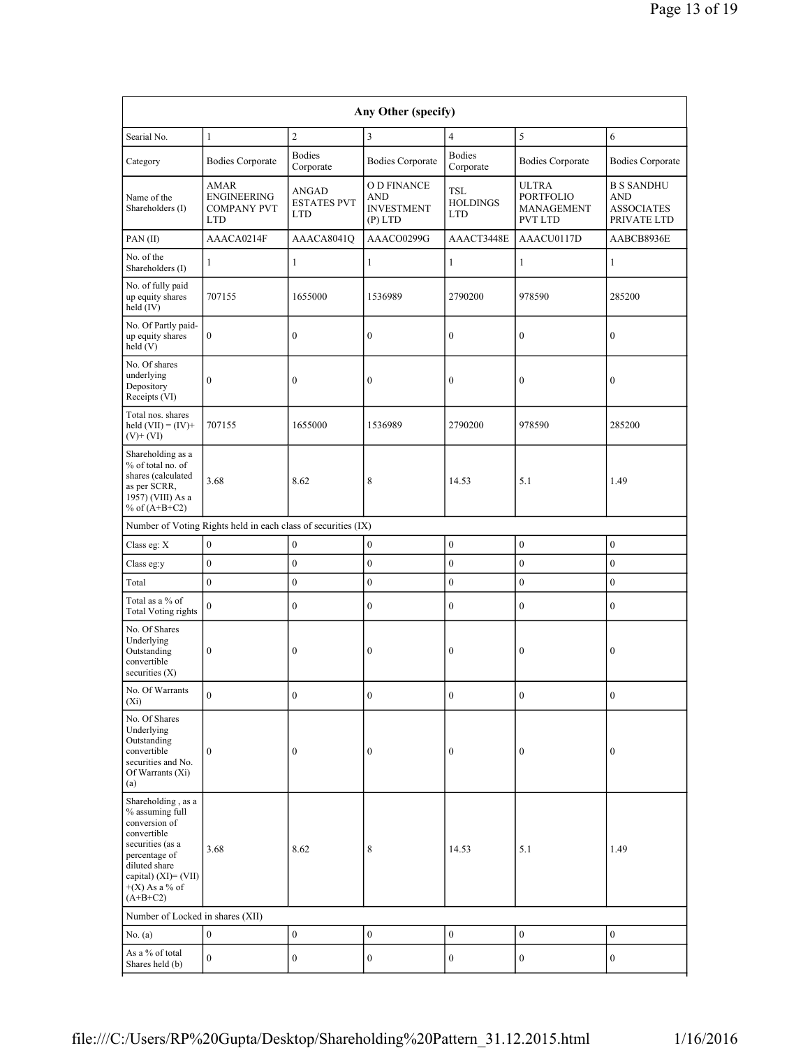| Any Other (specify)                                                                                                                                                                      |                                                                |                                           |                                                                   |                                      |                                                                  |                                                                     |  |  |  |  |
|------------------------------------------------------------------------------------------------------------------------------------------------------------------------------------------|----------------------------------------------------------------|-------------------------------------------|-------------------------------------------------------------------|--------------------------------------|------------------------------------------------------------------|---------------------------------------------------------------------|--|--|--|--|
| Searial No.                                                                                                                                                                              | $\mathbf{1}$                                                   | $\overline{c}$                            | 3                                                                 | $\overline{4}$                       | 5                                                                | 6                                                                   |  |  |  |  |
| Category                                                                                                                                                                                 | <b>Bodies Corporate</b>                                        | <b>Bodies</b><br>Corporate                | <b>Bodies Corporate</b>                                           | <b>Bodies</b><br>Corporate           | <b>Bodies Corporate</b>                                          | <b>Bodies Corporate</b>                                             |  |  |  |  |
| Name of the<br>Shareholders (I)                                                                                                                                                          | <b>AMAR</b><br>ENGINEERING<br><b>COMPANY PVT</b><br><b>LTD</b> | ANGAD<br><b>ESTATES PVT</b><br><b>LTD</b> | <b>OD FINANCE</b><br><b>AND</b><br><b>INVESTMENT</b><br>$(P)$ LTD | TSL<br><b>HOLDINGS</b><br><b>LTD</b> | <b>ULTRA</b><br><b>PORTFOLIO</b><br>MANAGEMENT<br><b>PVT LTD</b> | <b>B S SANDHU</b><br><b>AND</b><br><b>ASSOCIATES</b><br>PRIVATE LTD |  |  |  |  |
| PAN(II)                                                                                                                                                                                  | AAACA0214F                                                     | AAACA8041Q                                | AAACO0299G                                                        | AAACT3448E                           | AAACU0117D                                                       | AABCB8936E                                                          |  |  |  |  |
| No. of the<br>Shareholders (I)                                                                                                                                                           | 1                                                              | $\mathbf{1}$                              | $\mathbf{1}$                                                      | 1                                    | $\mathbf{1}$                                                     | $\mathbf{1}$                                                        |  |  |  |  |
| No. of fully paid<br>up equity shares<br>held (IV)                                                                                                                                       | 707155                                                         | 1655000                                   | 1536989                                                           | 2790200                              | 978590                                                           | 285200                                                              |  |  |  |  |
| No. Of Partly paid-<br>up equity shares<br>held (V)                                                                                                                                      | $\mathbf{0}$                                                   | $\boldsymbol{0}$                          | $\boldsymbol{0}$                                                  | $\mathbf{0}$                         | $\boldsymbol{0}$                                                 | 0                                                                   |  |  |  |  |
| No. Of shares<br>underlying<br>Depository<br>Receipts (VI)                                                                                                                               | $\mathbf{0}$                                                   | $\mathbf{0}$                              | $\mathbf{0}$                                                      | $\mathbf{0}$                         | $\mathbf{0}$                                                     | $\boldsymbol{0}$                                                    |  |  |  |  |
| Total nos. shares<br>held $(VII) = (IV) +$<br>$(V)$ + $(VI)$                                                                                                                             | 707155                                                         | 1655000                                   | 1536989                                                           | 2790200                              | 978590                                                           | 285200                                                              |  |  |  |  |
| Shareholding as a<br>% of total no. of<br>shares (calculated<br>as per SCRR,<br>1957) (VIII) As a<br>% of $(A+B+C2)$                                                                     | 3.68                                                           | 8.62                                      | 8                                                                 | 14.53                                | 5.1                                                              | 1.49                                                                |  |  |  |  |
|                                                                                                                                                                                          | Number of Voting Rights held in each class of securities (IX)  |                                           |                                                                   |                                      |                                                                  |                                                                     |  |  |  |  |
| Class eg: X                                                                                                                                                                              | $\mathbf{0}$                                                   | $\boldsymbol{0}$                          | $\boldsymbol{0}$                                                  | $\mathbf{0}$                         | $\boldsymbol{0}$                                                 | $\boldsymbol{0}$                                                    |  |  |  |  |
| Class eg:y                                                                                                                                                                               | $\boldsymbol{0}$                                               | $\boldsymbol{0}$                          | $\boldsymbol{0}$                                                  | $\boldsymbol{0}$                     | $\boldsymbol{0}$                                                 | $\boldsymbol{0}$                                                    |  |  |  |  |
| Total                                                                                                                                                                                    | $\mathbf{0}$                                                   | $\mathbf{0}$                              | $\mathbf{0}$                                                      | $\mathbf{0}$                         | $\mathbf{0}$                                                     | $\overline{0}$                                                      |  |  |  |  |
| Total as a % of<br><b>Total Voting rights</b>                                                                                                                                            | $\mathbf{0}$                                                   | $\mathbf{0}$                              | $\mathbf{0}$                                                      | $\mathbf{0}$                         | $\mathbf{0}$                                                     | $\mathbf{0}$                                                        |  |  |  |  |
| No. Of Shares<br>Underlying<br>Outstanding<br>convertible<br>securities $(X)$                                                                                                            | $\boldsymbol{0}$                                               | $\mathbf{0}$                              | $\mathbf{0}$                                                      | $\bf{0}$                             | $\mathbf{0}$                                                     | 0                                                                   |  |  |  |  |
| No. Of Warrants<br>$(X_i)$                                                                                                                                                               | $\boldsymbol{0}$                                               | $\boldsymbol{0}$                          | $\boldsymbol{0}$                                                  | $\boldsymbol{0}$                     | $\boldsymbol{0}$                                                 | $\boldsymbol{0}$                                                    |  |  |  |  |
| No. Of Shares<br>Underlying<br>Outstanding<br>convertible<br>securities and No.<br>Of Warrants (Xi)<br>(a)                                                                               | $\mathbf{0}$                                                   | $\boldsymbol{0}$                          | $\boldsymbol{0}$                                                  | $\boldsymbol{0}$                     | $\boldsymbol{0}$                                                 | $\boldsymbol{0}$                                                    |  |  |  |  |
| Shareholding, as a<br>% assuming full<br>conversion of<br>convertible<br>securities (as a<br>percentage of<br>diluted share<br>capital) $(XI) = (VII)$<br>$+(X)$ As a % of<br>$(A+B+C2)$ | 3.68                                                           | 8.62                                      | 8                                                                 | 14.53                                | 5.1                                                              | 1.49                                                                |  |  |  |  |
| Number of Locked in shares (XII)                                                                                                                                                         |                                                                |                                           |                                                                   |                                      |                                                                  |                                                                     |  |  |  |  |
| No. (a)                                                                                                                                                                                  | $\boldsymbol{0}$                                               | $\boldsymbol{0}$                          | $\boldsymbol{0}$                                                  | $\boldsymbol{0}$                     | $\boldsymbol{0}$                                                 | $\boldsymbol{0}$                                                    |  |  |  |  |
| As a % of total<br>Shares held (b)                                                                                                                                                       | $\mathbf{0}$                                                   | $\boldsymbol{0}$                          | $\boldsymbol{0}$                                                  | $\boldsymbol{0}$                     | $\boldsymbol{0}$                                                 | $\boldsymbol{0}$                                                    |  |  |  |  |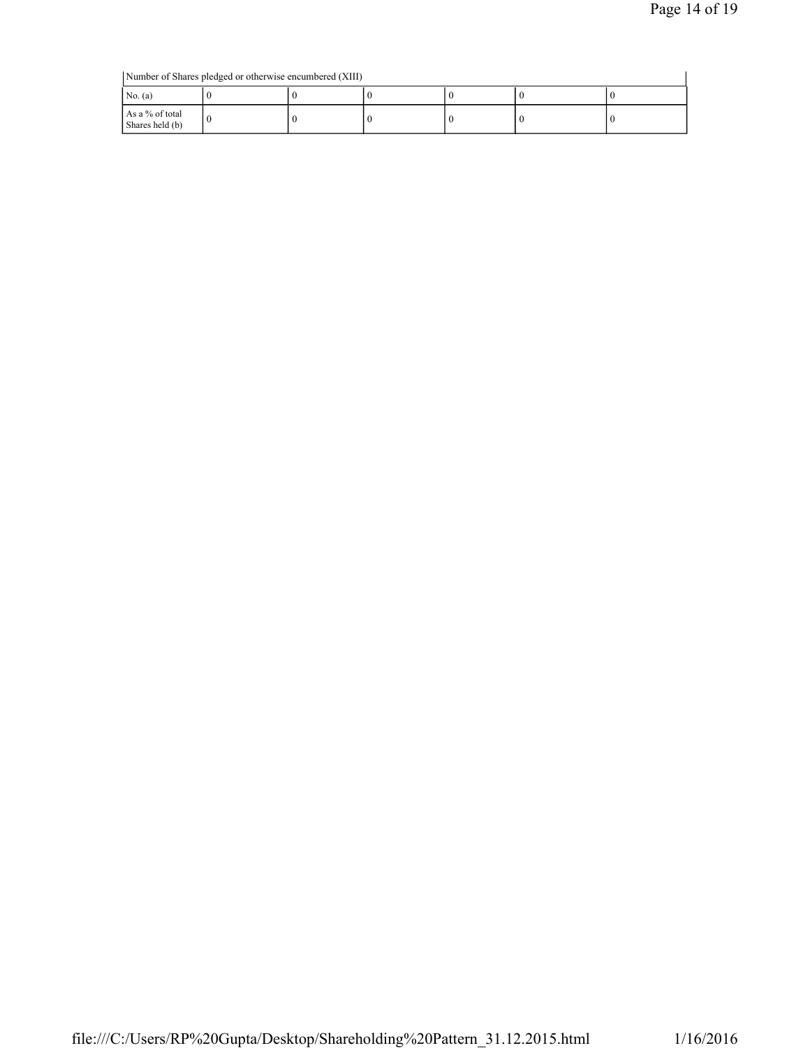Number of Shares pledged or otherwise encumbered (XIII)

| Number of Shares pledged or otherwise encumbered (XIII) |  |  |  |  |  |  |  |  |
|---------------------------------------------------------|--|--|--|--|--|--|--|--|
| No. $(a)$                                               |  |  |  |  |  |  |  |  |
| As a % of total<br>Shares held (b)                      |  |  |  |  |  |  |  |  |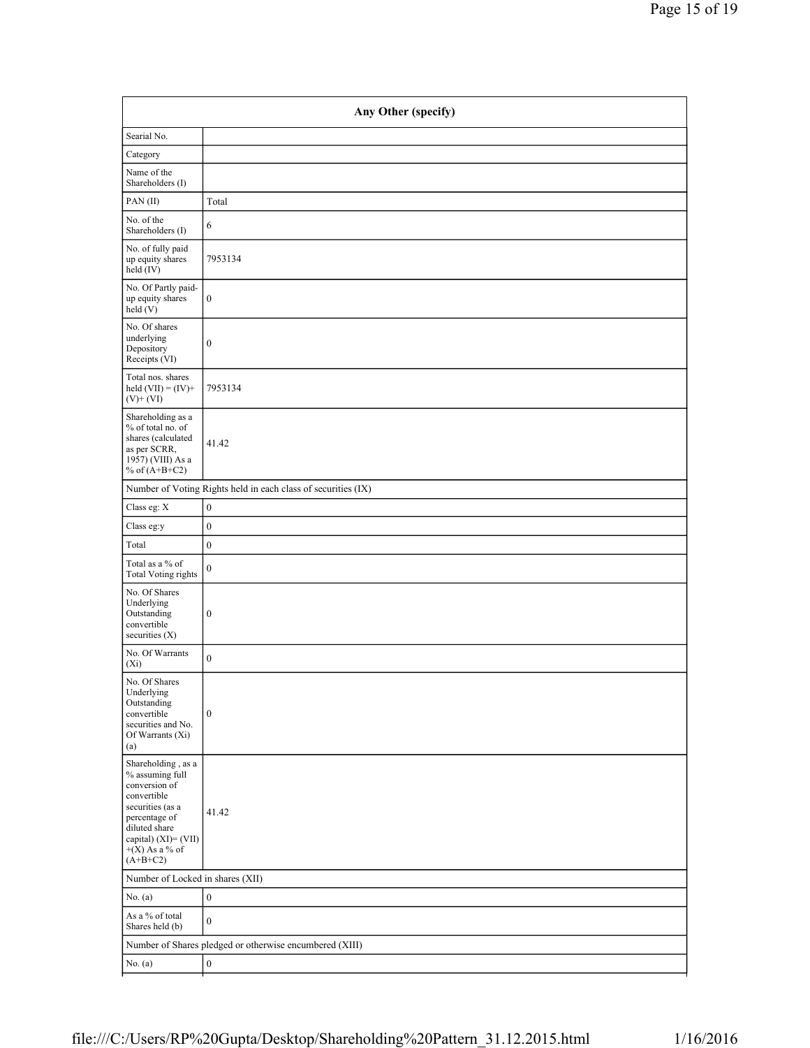| Any Other (specify)                                                                                                                                                                    |                                                               |  |  |  |  |
|----------------------------------------------------------------------------------------------------------------------------------------------------------------------------------------|---------------------------------------------------------------|--|--|--|--|
| Searial No.                                                                                                                                                                            |                                                               |  |  |  |  |
| Category                                                                                                                                                                               |                                                               |  |  |  |  |
| Name of the<br>Shareholders (I)                                                                                                                                                        |                                                               |  |  |  |  |
| PAN(II)                                                                                                                                                                                | Total                                                         |  |  |  |  |
| No. of the<br>Shareholders (I)                                                                                                                                                         | 6                                                             |  |  |  |  |
| No. of fully paid<br>up equity shares<br>held (IV)                                                                                                                                     | 7953134                                                       |  |  |  |  |
| No. Of Partly paid-<br>up equity shares<br>held(V)                                                                                                                                     | $\mathbf{0}$                                                  |  |  |  |  |
| No. Of shares<br>underlying<br>Depository<br>Receipts (VI)                                                                                                                             | $\boldsymbol{0}$                                              |  |  |  |  |
| Total nos. shares<br>held $(VII) = (IV) +$<br>$(V)$ + $(VI)$                                                                                                                           | 7953134                                                       |  |  |  |  |
| Shareholding as a<br>% of total no. of<br>shares (calculated<br>as per SCRR,<br>1957) (VIII) As a<br>% of $(A+B+C2)$                                                                   | 41.42                                                         |  |  |  |  |
|                                                                                                                                                                                        | Number of Voting Rights held in each class of securities (IX) |  |  |  |  |
| Class eg: X                                                                                                                                                                            | $\boldsymbol{0}$                                              |  |  |  |  |
| Class eg:y                                                                                                                                                                             | $\boldsymbol{0}$                                              |  |  |  |  |
| Total                                                                                                                                                                                  | $\boldsymbol{0}$                                              |  |  |  |  |
| Total as a % of<br><b>Total Voting rights</b>                                                                                                                                          | $\boldsymbol{0}$                                              |  |  |  |  |
| No. Of Shares<br>Underlying<br>Outstanding<br>convertible<br>securities (X)                                                                                                            | $\boldsymbol{0}$                                              |  |  |  |  |
| No. Of Warrants<br>$(X_i)$                                                                                                                                                             | $\boldsymbol{0}$                                              |  |  |  |  |
| No. Of Shares<br>Underlying<br>Outstanding<br>convertible<br>securities and No.<br>Of Warrants (Xi)<br>(a)                                                                             | $\boldsymbol{0}$                                              |  |  |  |  |
| Shareholding, as a<br>% assuming full<br>conversion of<br>convertible<br>securities (as a<br>percentage of<br>diluted share<br>capital) $(XI)=(VII)$<br>$+(X)$ As a % of<br>$(A+B+C2)$ | 41.42                                                         |  |  |  |  |
|                                                                                                                                                                                        | Number of Locked in shares (XII)                              |  |  |  |  |
| No. (a)                                                                                                                                                                                | $\boldsymbol{0}$                                              |  |  |  |  |
| As a % of total<br>Shares held (b)                                                                                                                                                     | $\boldsymbol{0}$                                              |  |  |  |  |
|                                                                                                                                                                                        | Number of Shares pledged or otherwise encumbered (XIII)       |  |  |  |  |
| No. (a)                                                                                                                                                                                | $\boldsymbol{0}$                                              |  |  |  |  |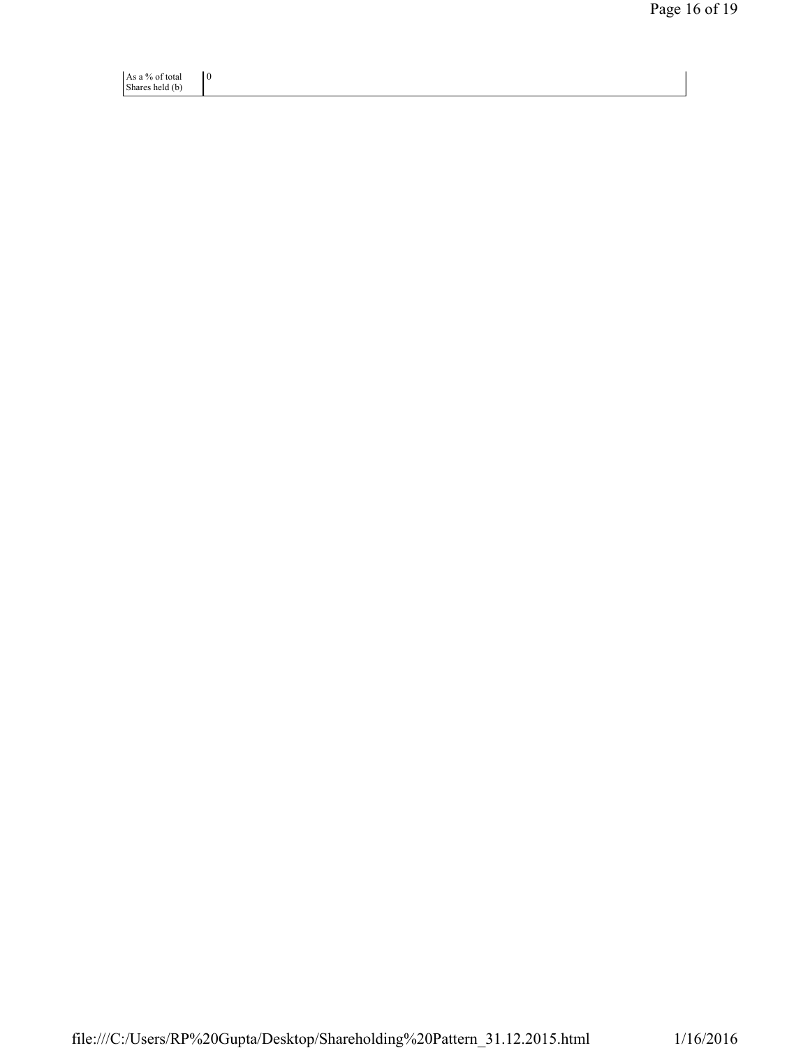As a % of total Shares held (b) 0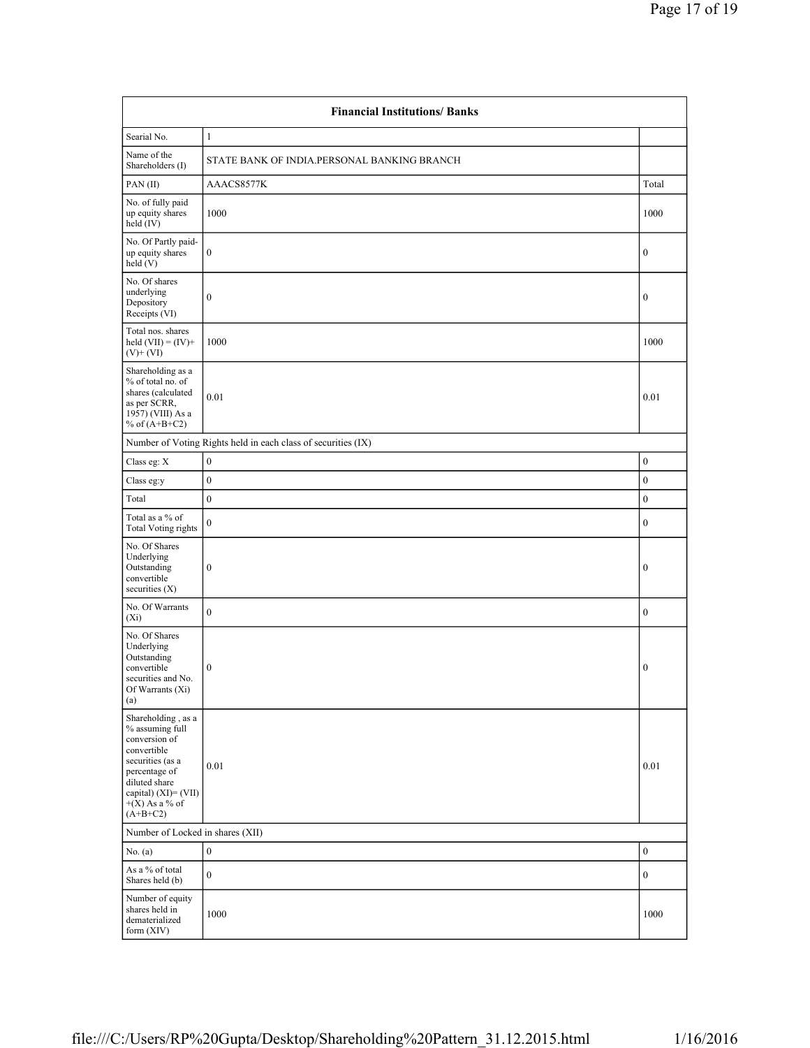| <b>Financial Institutions/ Banks</b>                                                                                                                                                  |                                                               |                  |  |  |  |
|---------------------------------------------------------------------------------------------------------------------------------------------------------------------------------------|---------------------------------------------------------------|------------------|--|--|--|
| Searial No.                                                                                                                                                                           | $\mathbf{1}$                                                  |                  |  |  |  |
| Name of the<br>Shareholders (I)                                                                                                                                                       | STATE BANK OF INDIA.PERSONAL BANKING BRANCH                   |                  |  |  |  |
| PAN(II)                                                                                                                                                                               | AAACS8577K                                                    |                  |  |  |  |
| No. of fully paid<br>up equity shares<br>held (IV)                                                                                                                                    | 1000                                                          |                  |  |  |  |
| No. Of Partly paid-<br>up equity shares<br>held(V)                                                                                                                                    | $\boldsymbol{0}$                                              |                  |  |  |  |
| No. Of shares<br>underlying<br>Depository<br>Receipts (VI)                                                                                                                            | $\boldsymbol{0}$                                              | $\boldsymbol{0}$ |  |  |  |
| Total nos. shares<br>held $(VII) = (IV) +$<br>$(V) + (VI)$                                                                                                                            | 1000                                                          | 1000             |  |  |  |
| Shareholding as a<br>% of total no. of<br>shares (calculated<br>as per SCRR,<br>1957) (VIII) As a<br>% of $(A+B+C2)$                                                                  | 0.01                                                          | 0.01             |  |  |  |
|                                                                                                                                                                                       | Number of Voting Rights held in each class of securities (IX) |                  |  |  |  |
| Class eg: X                                                                                                                                                                           | $\boldsymbol{0}$                                              | $\boldsymbol{0}$ |  |  |  |
| Class eg:y                                                                                                                                                                            | $\boldsymbol{0}$                                              | $\boldsymbol{0}$ |  |  |  |
| Total                                                                                                                                                                                 | $\mathbf{0}$                                                  | $\boldsymbol{0}$ |  |  |  |
| Total as a % of<br><b>Total Voting rights</b>                                                                                                                                         | $\mathbf{0}$                                                  | $\boldsymbol{0}$ |  |  |  |
| No. Of Shares<br>Underlying<br>Outstanding<br>convertible<br>securities $(X)$                                                                                                         | $\boldsymbol{0}$                                              | $\boldsymbol{0}$ |  |  |  |
| No. Of Warrants<br>$(X_i)$                                                                                                                                                            | $\overline{0}$                                                | $\mathbf{0}$     |  |  |  |
| No. Of Shares<br>Underlying<br>Outstanding<br>convertible<br>securities and No.<br>Of Warrants (Xi)<br>(a)                                                                            | $\boldsymbol{0}$                                              | $\boldsymbol{0}$ |  |  |  |
| Shareholding, as a<br>% assuming full<br>conversion of<br>convertible<br>securities (as a<br>percentage of<br>diluted share<br>capital) (XI)= (VII)<br>$+(X)$ As a % of<br>$(A+B+C2)$ | 0.01                                                          | 0.01             |  |  |  |
| Number of Locked in shares (XII)                                                                                                                                                      |                                                               |                  |  |  |  |
| No. $(a)$                                                                                                                                                                             | $\boldsymbol{0}$                                              | $\boldsymbol{0}$ |  |  |  |
| As a % of total<br>Shares held (b)                                                                                                                                                    | $\mathbf{0}$                                                  | $\boldsymbol{0}$ |  |  |  |
| Number of equity<br>shares held in<br>dematerialized<br>form (XIV)                                                                                                                    | 1000                                                          | 1000             |  |  |  |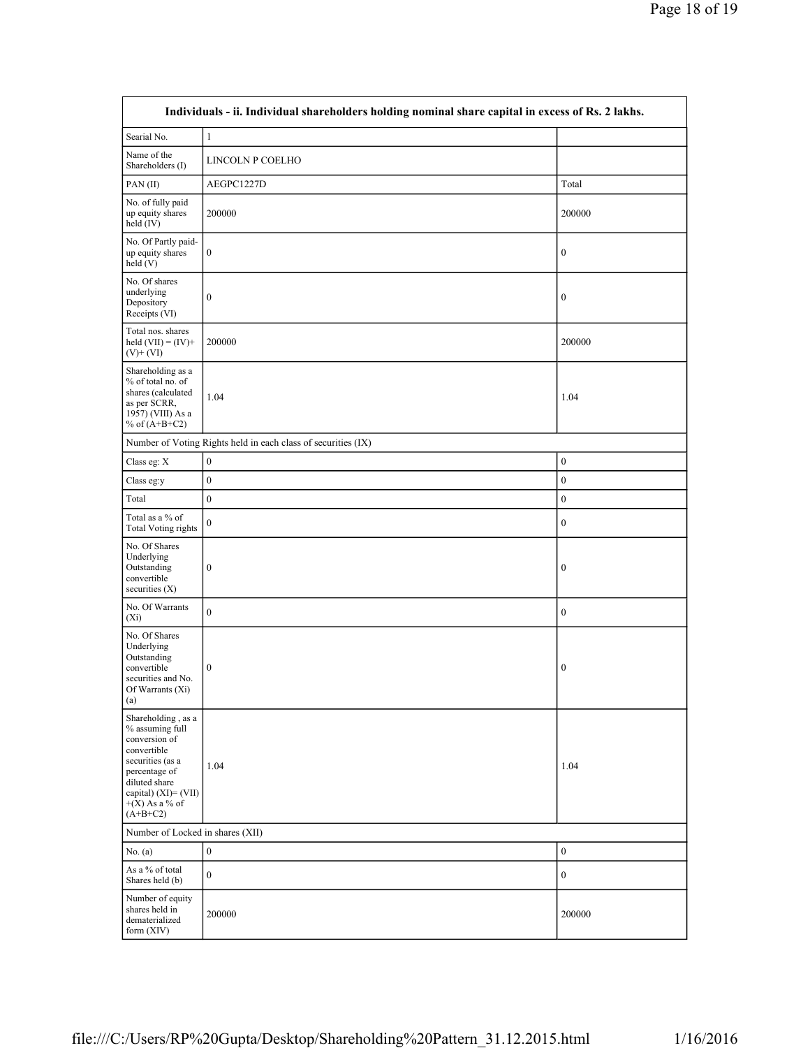| Individuals - ii. Individual shareholders holding nominal share capital in excess of Rs. 2 lakhs.                                                                                        |                                                               |                  |  |  |  |
|------------------------------------------------------------------------------------------------------------------------------------------------------------------------------------------|---------------------------------------------------------------|------------------|--|--|--|
| Searial No.                                                                                                                                                                              | $\mathbf{1}$                                                  |                  |  |  |  |
| Name of the<br>Shareholders (I)                                                                                                                                                          | LINCOLN P COELHO                                              |                  |  |  |  |
| PAN(II)                                                                                                                                                                                  | AEGPC1227D                                                    | Total            |  |  |  |
| No. of fully paid<br>up equity shares<br>held (IV)                                                                                                                                       | 200000                                                        | 200000           |  |  |  |
| No. Of Partly paid-<br>up equity shares<br>held (V)                                                                                                                                      | $\boldsymbol{0}$                                              | $\boldsymbol{0}$ |  |  |  |
| No. Of shares<br>underlying<br>Depository<br>Receipts (VI)                                                                                                                               | $\boldsymbol{0}$                                              | $\boldsymbol{0}$ |  |  |  |
| Total nos. shares<br>held $(VII) = (IV) +$<br>$(V)$ + $(VI)$                                                                                                                             | 200000                                                        | 200000           |  |  |  |
| Shareholding as a<br>% of total no. of<br>shares (calculated<br>as per SCRR.<br>1957) (VIII) As a<br>% of $(A+B+C2)$                                                                     | 1.04                                                          | 1.04             |  |  |  |
|                                                                                                                                                                                          | Number of Voting Rights held in each class of securities (IX) |                  |  |  |  |
| Class eg: X                                                                                                                                                                              | $\boldsymbol{0}$                                              | $\boldsymbol{0}$ |  |  |  |
| Class eg:y                                                                                                                                                                               | $\mathbf{0}$                                                  | $\boldsymbol{0}$ |  |  |  |
| Total                                                                                                                                                                                    | $\boldsymbol{0}$                                              | $\boldsymbol{0}$ |  |  |  |
| Total as a % of<br><b>Total Voting rights</b>                                                                                                                                            | $\overline{0}$                                                | $\boldsymbol{0}$ |  |  |  |
| No. Of Shares<br>Underlying<br>Outstanding<br>convertible<br>securities $(X)$                                                                                                            | $\boldsymbol{0}$                                              | $\boldsymbol{0}$ |  |  |  |
| No. Of Warrants<br>$(X_i)$                                                                                                                                                               | $\overline{0}$                                                | $\mathbf{0}$     |  |  |  |
| No. Of Shares<br>Underlying<br>Outstanding<br>convertible<br>securities and No.<br>Of Warrants (Xi)<br>(a)                                                                               | $\boldsymbol{0}$                                              | $\boldsymbol{0}$ |  |  |  |
| Shareholding, as a<br>% assuming full<br>conversion of<br>convertible<br>securities (as a<br>percentage of<br>diluted share<br>capital) $(XI) = (VII)$<br>$+(X)$ As a % of<br>$(A+B+C2)$ | 1.04                                                          | 1.04             |  |  |  |
| Number of Locked in shares (XII)                                                                                                                                                         |                                                               |                  |  |  |  |
| No. (a)                                                                                                                                                                                  | $\boldsymbol{0}$                                              | $\boldsymbol{0}$ |  |  |  |
| As a % of total<br>Shares held (b)                                                                                                                                                       | $\boldsymbol{0}$                                              | $\boldsymbol{0}$ |  |  |  |
| Number of equity<br>shares held in<br>dematerialized<br>form $(XIV)$                                                                                                                     | 200000                                                        | 200000           |  |  |  |